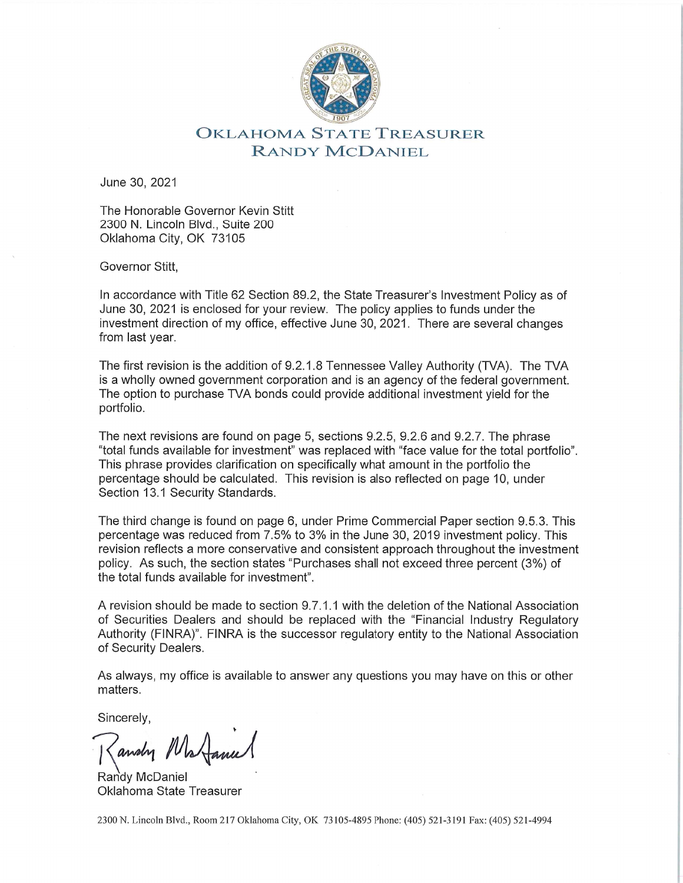

## **OKLAHOMA STATE TREASURER** RANDY MCDANIEL

June 30, 2021

The Honorable Governor Kevin Stitt 2300 N. Lincoln Blvd., Suite 200 Oklahoma City, OK 73105

Governor Stitt.

In accordance with Title 62 Section 89.2, the State Treasurer's Investment Policy as of June 30, 2021 is enclosed for your review. The policy applies to funds under the investment direction of my office, effective June 30, 2021. There are several changes from last year.

The first revision is the addition of 9.2.1.8 Tennessee Valley Authority (TVA). The TVA is a wholly owned government corporation and is an agency of the federal government. The option to purchase TVA bonds could provide additional investment vield for the portfolio.

The next revisions are found on page 5, sections 9.2.5, 9.2.6 and 9.2.7. The phrase "total funds available for investment" was replaced with "face value for the total portfolio". This phrase provides clarification on specifically what amount in the portfolio the percentage should be calculated. This revision is also reflected on page 10, under Section 13.1 Security Standards.

The third change is found on page 6, under Prime Commercial Paper section 9.5.3. This percentage was reduced from 7.5% to 3% in the June 30, 2019 investment policy. This revision reflects a more conservative and consistent approach throughout the investment policy. As such, the section states "Purchases shall not exceed three percent (3%) of the total funds available for investment".

A revision should be made to section 9.7.1.1 with the deletion of the National Association of Securities Dealers and should be replaced with the "Financial Industry Regulatory Authority (FINRA)". FINRA is the successor regulatory entity to the National Association of Security Dealers.

As always, my office is available to answer any questions you may have on this or other matters.

Sincerely,

andry N

Randy McDaniel Oklahoma State Treasurer

2300 N. Lincoln Blvd., Room 217 Oklahoma City, OK 73105-4895 Phone: (405) 521-3191 Fax: (405) 521-4994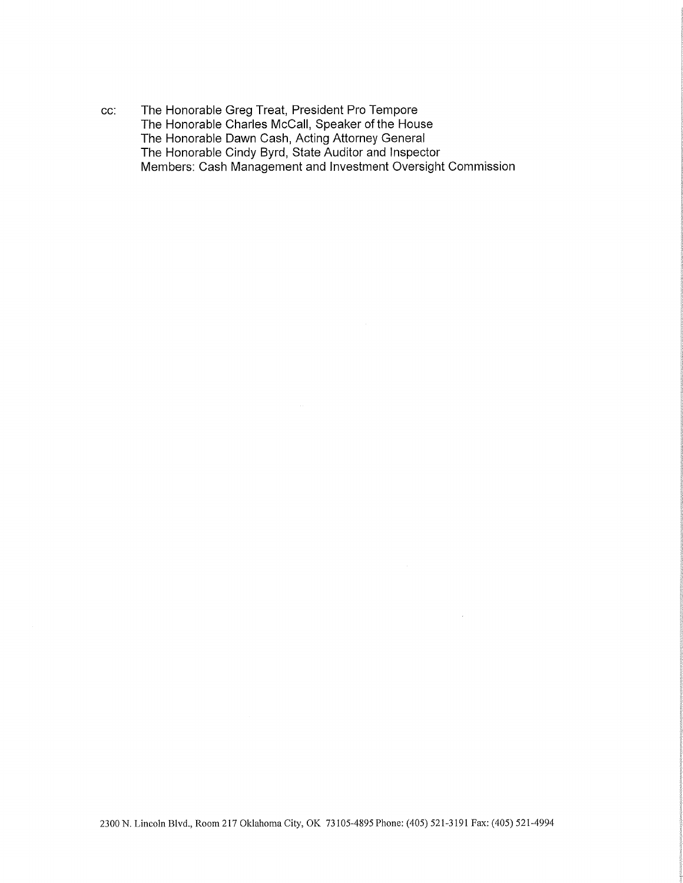The Honorable Greg Treat, President Pro Tempore cc: The Honorable Charles McCall, Speaker of the House The Honorable Dawn Cash, Acting Attorney General The Honorable Cindy Byrd, State Auditor and Inspector Members: Cash Management and Investment Oversight Commission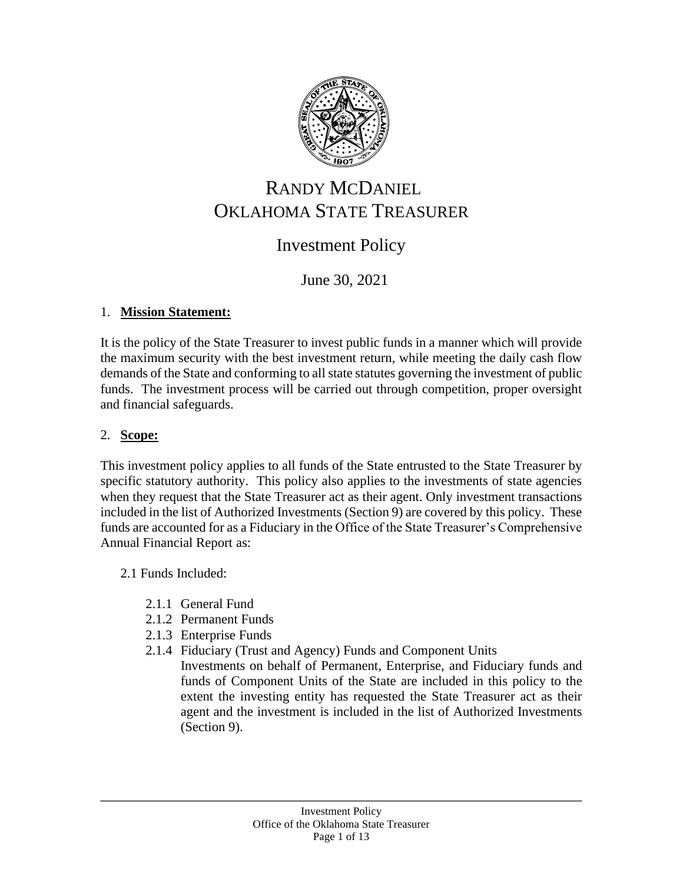

# RANDY MCDANIEL OKLAHOMA STATE TREASURER

## Investment Policy

## June 30, 2021

#### 1. **Mission Statement:**

It is the policy of the State Treasurer to invest public funds in a manner which will provide the maximum security with the best investment return, while meeting the daily cash flow demands of the State and conforming to all state statutes governing the investment of public funds. The investment process will be carried out through competition, proper oversight and financial safeguards.

#### 2. **Scope:**

This investment policy applies to all funds of the State entrusted to the State Treasurer by specific statutory authority. This policy also applies to the investments of state agencies when they request that the State Treasurer act as their agent. Only investment transactions included in the list of Authorized Investments (Section 9) are covered by this policy. These funds are accounted for as a Fiduciary in the Office of the State Treasurer's Comprehensive Annual Financial Report as:

#### 2.1 Funds Included:

- 2.1.1 General Fund
- 2.1.2 Permanent Funds
- 2.1.3 Enterprise Funds
- 2.1.4 Fiduciary (Trust and Agency) Funds and Component Units
	- Investments on behalf of Permanent, Enterprise, and Fiduciary funds and funds of Component Units of the State are included in this policy to the extent the investing entity has requested the State Treasurer act as their agent and the investment is included in the list of Authorized Investments (Section 9).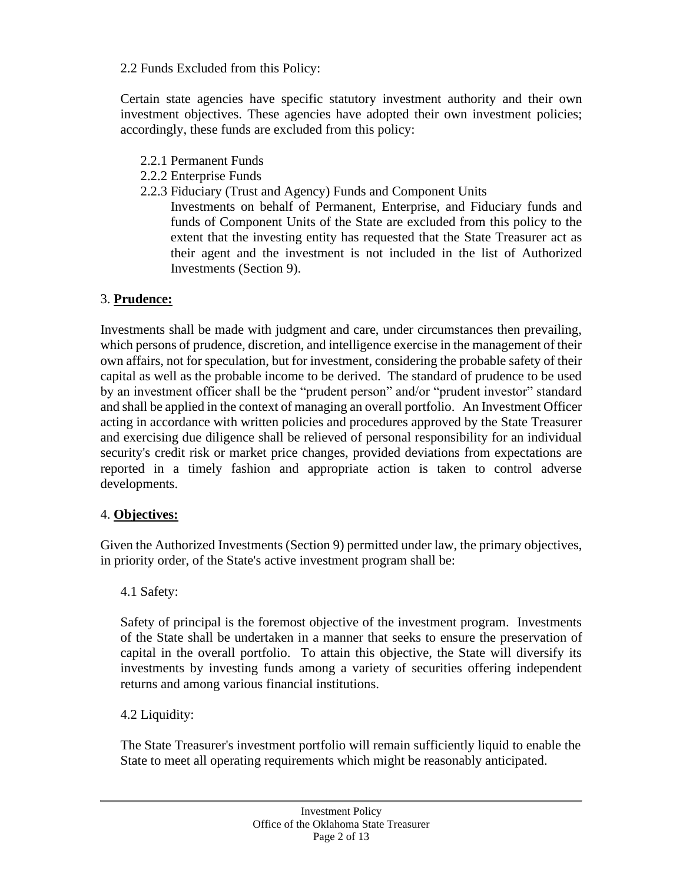2.2 Funds Excluded from this Policy:

Certain state agencies have specific statutory investment authority and their own investment objectives. These agencies have adopted their own investment policies; accordingly, these funds are excluded from this policy:

- 2.2.1 Permanent Funds
- 2.2.2 Enterprise Funds
- 2.2.3 Fiduciary (Trust and Agency) Funds and Component Units
	- Investments on behalf of Permanent, Enterprise, and Fiduciary funds and funds of Component Units of the State are excluded from this policy to the extent that the investing entity has requested that the State Treasurer act as their agent and the investment is not included in the list of Authorized Investments (Section 9).

## 3. **Prudence:**

Investments shall be made with judgment and care, under circumstances then prevailing, which persons of prudence, discretion, and intelligence exercise in the management of their own affairs, not for speculation, but for investment, considering the probable safety of their capital as well as the probable income to be derived. The standard of prudence to be used by an investment officer shall be the "prudent person" and/or "prudent investor" standard and shall be applied in the context of managing an overall portfolio. An Investment Officer acting in accordance with written policies and procedures approved by the State Treasurer and exercising due diligence shall be relieved of personal responsibility for an individual security's credit risk or market price changes, provided deviations from expectations are reported in a timely fashion and appropriate action is taken to control adverse developments.

## 4. **Objectives:**

Given the Authorized Investments (Section 9) permitted under law, the primary objectives, in priority order, of the State's active investment program shall be:

## 4.1 Safety:

Safety of principal is the foremost objective of the investment program. Investments of the State shall be undertaken in a manner that seeks to ensure the preservation of capital in the overall portfolio. To attain this objective, the State will diversify its investments by investing funds among a variety of securities offering independent returns and among various financial institutions.

## 4.2 Liquidity:

The State Treasurer's investment portfolio will remain sufficiently liquid to enable the State to meet all operating requirements which might be reasonably anticipated.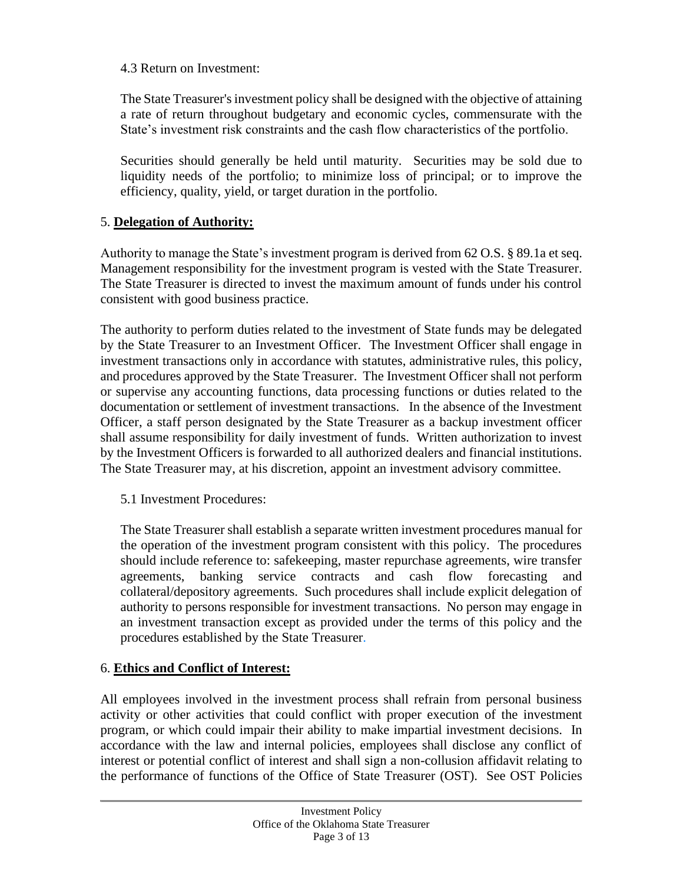4.3 Return on Investment:

The State Treasurer's investment policy shall be designed with the objective of attaining a rate of return throughout budgetary and economic cycles, commensurate with the State's investment risk constraints and the cash flow characteristics of the portfolio.

Securities should generally be held until maturity. Securities may be sold due to liquidity needs of the portfolio; to minimize loss of principal; or to improve the efficiency, quality, yield, or target duration in the portfolio.

#### 5. **Delegation of Authority:**

Authority to manage the State's investment program is derived from 62 O.S. § 89.1a et seq. Management responsibility for the investment program is vested with the State Treasurer. The State Treasurer is directed to invest the maximum amount of funds under his control consistent with good business practice.

The authority to perform duties related to the investment of State funds may be delegated by the State Treasurer to an Investment Officer. The Investment Officer shall engage in investment transactions only in accordance with statutes, administrative rules, this policy, and procedures approved by the State Treasurer. The Investment Officer shall not perform or supervise any accounting functions, data processing functions or duties related to the documentation or settlement of investment transactions. In the absence of the Investment Officer, a staff person designated by the State Treasurer as a backup investment officer shall assume responsibility for daily investment of funds. Written authorization to invest by the Investment Officers is forwarded to all authorized dealers and financial institutions. The State Treasurer may, at his discretion, appoint an investment advisory committee.

#### 5.1 Investment Procedures:

The State Treasurer shall establish a separate written investment procedures manual for the operation of the investment program consistent with this policy. The procedures should include reference to: safekeeping, master repurchase agreements, wire transfer agreements, banking service contracts and cash flow forecasting and collateral/depository agreements. Such procedures shall include explicit delegation of authority to persons responsible for investment transactions. No person may engage in an investment transaction except as provided under the terms of this policy and the procedures established by the State Treasurer.

#### 6. **Ethics and Conflict of Interest:**

All employees involved in the investment process shall refrain from personal business activity or other activities that could conflict with proper execution of the investment program, or which could impair their ability to make impartial investment decisions. In accordance with the law and internal policies, employees shall disclose any conflict of interest or potential conflict of interest and shall sign a non-collusion affidavit relating to the performance of functions of the Office of State Treasurer (OST). See OST Policies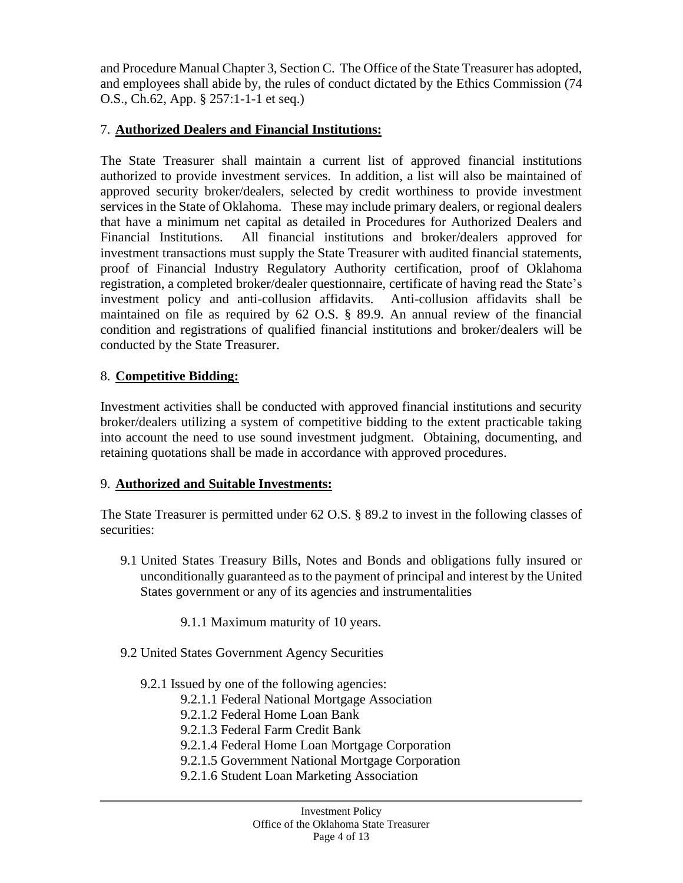and Procedure Manual Chapter 3, Section C. The Office of the State Treasurer has adopted, and employees shall abide by, the rules of conduct dictated by the Ethics Commission (74 O.S., Ch.62, App. § 257:1-1-1 et seq.)

#### 7. **Authorized Dealers and Financial Institutions:**

The State Treasurer shall maintain a current list of approved financial institutions authorized to provide investment services. In addition, a list will also be maintained of approved security broker/dealers, selected by credit worthiness to provide investment services in the State of Oklahoma. These may include primary dealers, or regional dealers that have a minimum net capital as detailed in Procedures for Authorized Dealers and Financial Institutions. All financial institutions and broker/dealers approved for investment transactions must supply the State Treasurer with audited financial statements, proof of Financial Industry Regulatory Authority certification, proof of Oklahoma registration, a completed broker/dealer questionnaire, certificate of having read the State's investment policy and anti-collusion affidavits. Anti-collusion affidavits shall be maintained on file as required by 62 O.S. § 89.9. An annual review of the financial condition and registrations of qualified financial institutions and broker/dealers will be conducted by the State Treasurer.

#### 8. **Competitive Bidding:**

Investment activities shall be conducted with approved financial institutions and security broker/dealers utilizing a system of competitive bidding to the extent practicable taking into account the need to use sound investment judgment. Obtaining, documenting, and retaining quotations shall be made in accordance with approved procedures.

#### 9. **Authorized and Suitable Investments:**

The State Treasurer is permitted under 62 O.S. § 89.2 to invest in the following classes of securities:

- 9.1 United States Treasury Bills, Notes and Bonds and obligations fully insured or unconditionally guaranteed as to the payment of principal and interest by the United States government or any of its agencies and instrumentalities
	- 9.1.1 Maximum maturity of 10 years.
- 9.2 United States Government Agency Securities
	- 9.2.1 Issued by one of the following agencies:
		- 9.2.1.1 Federal National Mortgage Association
		- 9.2.1.2 Federal Home Loan Bank
		- 9.2.1.3 Federal Farm Credit Bank
		- 9.2.1.4 Federal Home Loan Mortgage Corporation
		- 9.2.1.5 Government National Mortgage Corporation
		- 9.2.1.6 Student Loan Marketing Association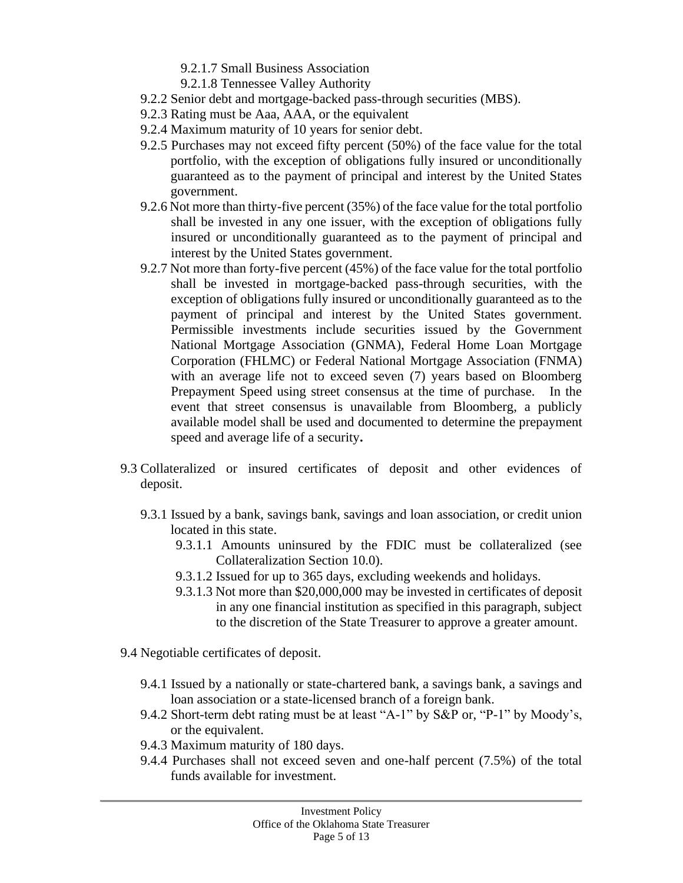- 9.2.1.7 Small Business Association
- 9.2.1.8 Tennessee Valley Authority
- 9.2.2 Senior debt and mortgage-backed pass-through securities (MBS).
- 9.2.3 Rating must be Aaa, AAA, or the equivalent
- 9.2.4 Maximum maturity of 10 years for senior debt.
- 9.2.5 Purchases may not exceed fifty percent (50%) of the face value for the total portfolio, with the exception of obligations fully insured or unconditionally guaranteed as to the payment of principal and interest by the United States government.
- 9.2.6 Not more than thirty-five percent (35%) of the face value for the total portfolio shall be invested in any one issuer, with the exception of obligations fully insured or unconditionally guaranteed as to the payment of principal and interest by the United States government.
- 9.2.7 Not more than forty-five percent (45%) of the face value for the total portfolio shall be invested in mortgage-backed pass-through securities, with the exception of obligations fully insured or unconditionally guaranteed as to the payment of principal and interest by the United States government. Permissible investments include securities issued by the Government National Mortgage Association (GNMA), Federal Home Loan Mortgage Corporation (FHLMC) or Federal National Mortgage Association (FNMA) with an average life not to exceed seven (7) years based on Bloomberg Prepayment Speed using street consensus at the time of purchase. In the event that street consensus is unavailable from Bloomberg, a publicly available model shall be used and documented to determine the prepayment speed and average life of a security**.**
- 9.3 Collateralized or insured certificates of deposit and other evidences of deposit.
	- 9.3.1 Issued by a bank, savings bank, savings and loan association, or credit union located in this state.
		- 9.3.1.1 Amounts uninsured by the FDIC must be collateralized (see Collateralization Section 10.0).
		- 9.3.1.2 Issued for up to 365 days, excluding weekends and holidays.
		- 9.3.1.3 Not more than \$20,000,000 may be invested in certificates of deposit in any one financial institution as specified in this paragraph, subject to the discretion of the State Treasurer to approve a greater amount.
- 9.4 Negotiable certificates of deposit.
	- 9.4.1 Issued by a nationally or state-chartered bank, a savings bank, a savings and loan association or a state-licensed branch of a foreign bank.
	- 9.4.2 Short-term debt rating must be at least "A-1" by S&P or, "P-1" by Moody's, or the equivalent.
	- 9.4.3 Maximum maturity of 180 days.
	- 9.4.4 Purchases shall not exceed seven and one-half percent (7.5%) of the total funds available for investment.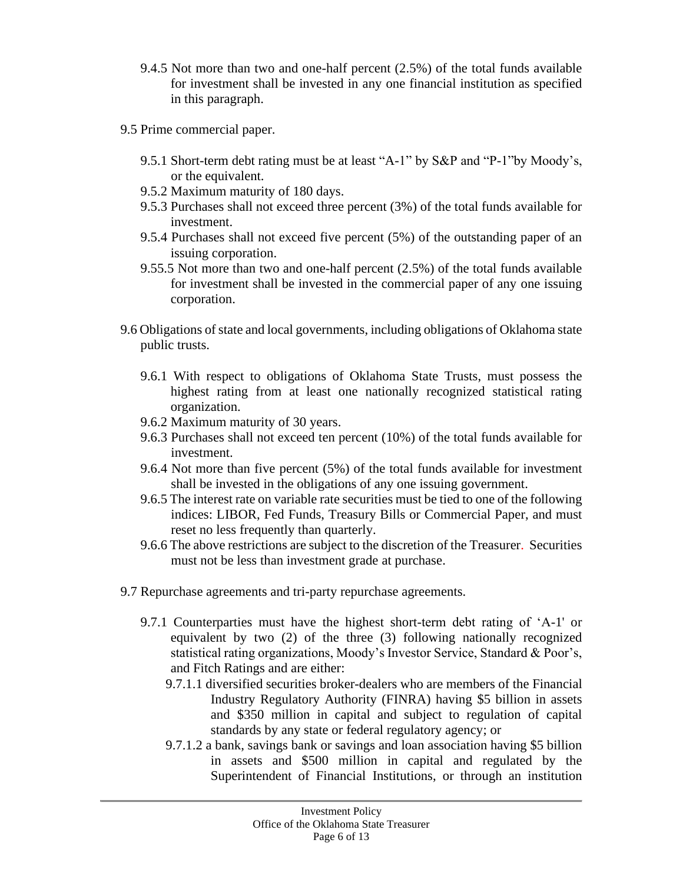- 9.4.5 Not more than two and one-half percent (2.5%) of the total funds available for investment shall be invested in any one financial institution as specified in this paragraph.
- 9.5 Prime commercial paper.
	- 9.5.1 Short-term debt rating must be at least "A-1" by S&P and "P-1"by Moody's, or the equivalent.
	- 9.5.2 Maximum maturity of 180 days.
	- 9.5.3 Purchases shall not exceed three percent (3%) of the total funds available for investment.
	- 9.5.4 Purchases shall not exceed five percent (5%) of the outstanding paper of an issuing corporation.
	- 9.55.5 Not more than two and one-half percent (2.5%) of the total funds available for investment shall be invested in the commercial paper of any one issuing corporation.
- 9.6 Obligations of state and local governments, including obligations of Oklahoma state public trusts.
	- 9.6.1 With respect to obligations of Oklahoma State Trusts, must possess the highest rating from at least one nationally recognized statistical rating organization.
	- 9.6.2 Maximum maturity of 30 years.
	- 9.6.3 Purchases shall not exceed ten percent (10%) of the total funds available for investment.
	- 9.6.4 Not more than five percent (5%) of the total funds available for investment shall be invested in the obligations of any one issuing government.
	- 9.6.5 The interest rate on variable rate securities must be tied to one of the following indices: LIBOR, Fed Funds, Treasury Bills or Commercial Paper, and must reset no less frequently than quarterly.
	- 9.6.6 The above restrictions are subject to the discretion of the Treasurer. Securities must not be less than investment grade at purchase.
- 9.7 Repurchase agreements and tri-party repurchase agreements.
	- 9.7.1 Counterparties must have the highest short-term debt rating of 'A-1' or equivalent by two (2) of the three (3) following nationally recognized statistical rating organizations, Moody's Investor Service, Standard & Poor's, and Fitch Ratings and are either:
		- 9.7.1.1 diversified securities broker-dealers who are members of the Financial Industry Regulatory Authority (FINRA) having \$5 billion in assets and \$350 million in capital and subject to regulation of capital standards by any state or federal regulatory agency; or
		- 9.7.1.2 a bank, savings bank or savings and loan association having \$5 billion in assets and \$500 million in capital and regulated by the Superintendent of Financial Institutions, or through an institution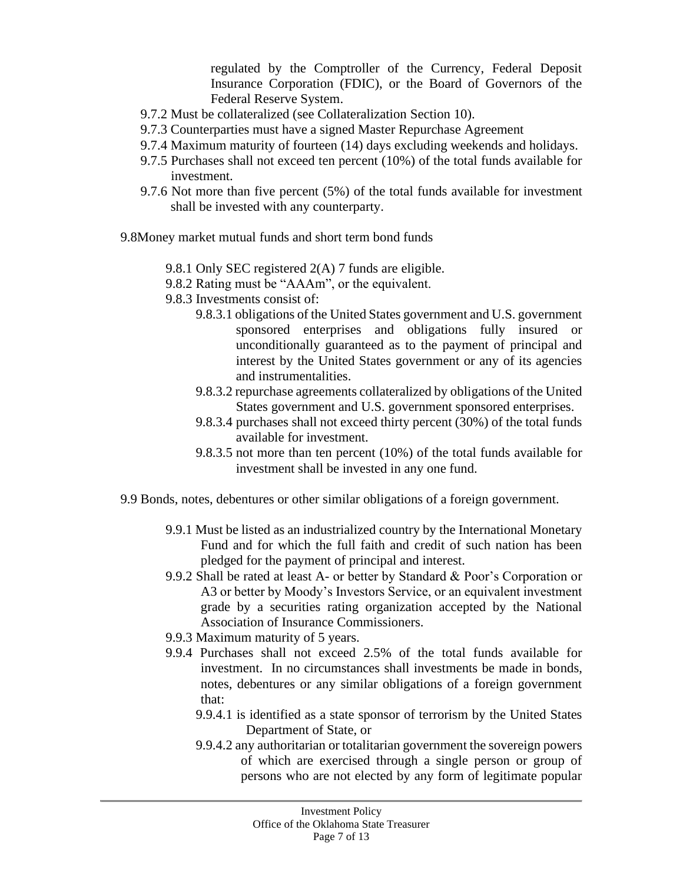regulated by the Comptroller of the Currency, Federal Deposit Insurance Corporation (FDIC), or the Board of Governors of the Federal Reserve System.

- 9.7.2 Must be collateralized (see Collateralization Section 10).
- 9.7.3 Counterparties must have a signed Master Repurchase Agreement
- 9.7.4 Maximum maturity of fourteen (14) days excluding weekends and holidays.
- 9.7.5 Purchases shall not exceed ten percent (10%) of the total funds available for investment.
- 9.7.6 Not more than five percent (5%) of the total funds available for investment shall be invested with any counterparty.

9.8Money market mutual funds and short term bond funds

- 9.8.1 Only SEC registered 2(A) 7 funds are eligible.
- 9.8.2 Rating must be "AAAm", or the equivalent.
- 9.8.3 Investments consist of:
	- 9.8.3.1 obligations of the United States government and U.S. government sponsored enterprises and obligations fully insured or unconditionally guaranteed as to the payment of principal and interest by the United States government or any of its agencies and instrumentalities.
	- 9.8.3.2 repurchase agreements collateralized by obligations of the United States government and U.S. government sponsored enterprises.
	- 9.8.3.4 purchases shall not exceed thirty percent (30%) of the total funds available for investment.
	- 9.8.3.5 not more than ten percent (10%) of the total funds available for investment shall be invested in any one fund.
- 9.9 Bonds, notes, debentures or other similar obligations of a foreign government.
	- 9.9.1 Must be listed as an industrialized country by the International Monetary Fund and for which the full faith and credit of such nation has been pledged for the payment of principal and interest.
	- 9.9.2 Shall be rated at least A- or better by Standard & Poor's Corporation or A3 or better by Moody's Investors Service, or an equivalent investment grade by a securities rating organization accepted by the National Association of Insurance Commissioners.
	- 9.9.3 Maximum maturity of 5 years.
	- 9.9.4 Purchases shall not exceed 2.5% of the total funds available for investment. In no circumstances shall investments be made in bonds, notes, debentures or any similar obligations of a foreign government that:
		- 9.9.4.1 is identified as a state sponsor of terrorism by the United States Department of State, or
		- 9.9.4.2 any authoritarian or totalitarian government the sovereign powers of which are exercised through a single person or group of persons who are not elected by any form of legitimate popular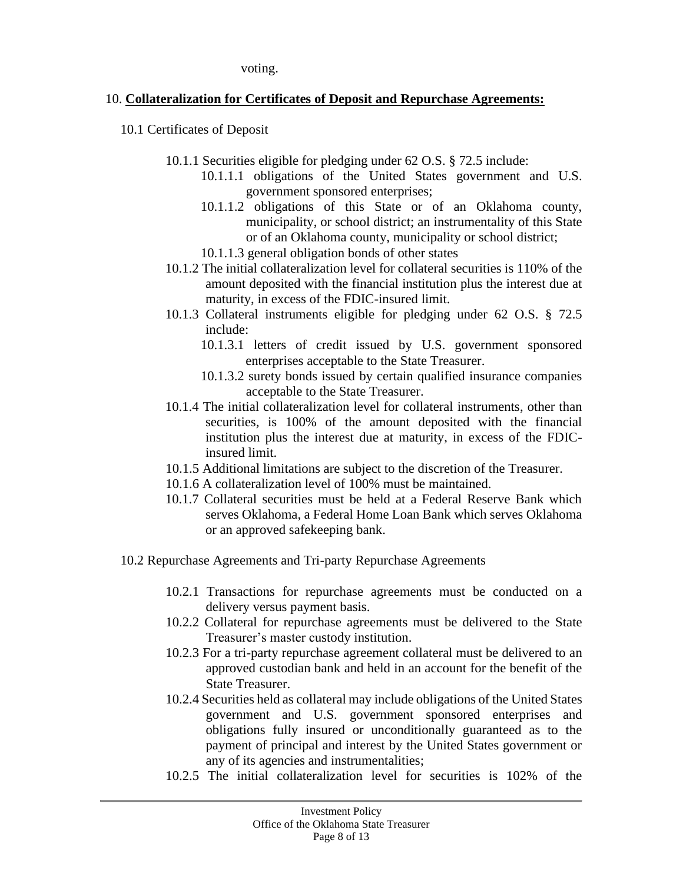voting.

#### 10. **Collateralization for Certificates of Deposit and Repurchase Agreements:**

- 10.1 Certificates of Deposit
	- 10.1.1 Securities eligible for pledging under 62 O.S. § 72.5 include:
		- 10.1.1.1 obligations of the United States government and U.S. government sponsored enterprises;
		- 10.1.1.2 obligations of this State or of an Oklahoma county, municipality, or school district; an instrumentality of this State or of an Oklahoma county, municipality or school district;
		- 10.1.1.3 general obligation bonds of other states
	- 10.1.2 The initial collateralization level for collateral securities is 110% of the amount deposited with the financial institution plus the interest due at maturity, in excess of the FDIC-insured limit.
	- 10.1.3 Collateral instruments eligible for pledging under 62 O.S. § 72.5 include:
		- 10.1.3.1 letters of credit issued by U.S. government sponsored enterprises acceptable to the State Treasurer.
		- 10.1.3.2 surety bonds issued by certain qualified insurance companies acceptable to the State Treasurer.
	- 10.1.4 The initial collateralization level for collateral instruments, other than securities, is 100% of the amount deposited with the financial institution plus the interest due at maturity, in excess of the FDICinsured limit.
	- 10.1.5 Additional limitations are subject to the discretion of the Treasurer.
	- 10.1.6 A collateralization level of 100% must be maintained.
	- 10.1.7 Collateral securities must be held at a Federal Reserve Bank which serves Oklahoma, a Federal Home Loan Bank which serves Oklahoma or an approved safekeeping bank.
- 10.2 Repurchase Agreements and Tri-party Repurchase Agreements
	- 10.2.1 Transactions for repurchase agreements must be conducted on a delivery versus payment basis.
	- 10.2.2 Collateral for repurchase agreements must be delivered to the State Treasurer's master custody institution.
	- 10.2.3 For a tri-party repurchase agreement collateral must be delivered to an approved custodian bank and held in an account for the benefit of the State Treasurer.
	- 10.2.4 Securities held as collateral may include obligations of the United States government and U.S. government sponsored enterprises and obligations fully insured or unconditionally guaranteed as to the payment of principal and interest by the United States government or any of its agencies and instrumentalities;
	- 10.2.5 The initial collateralization level for securities is 102% of the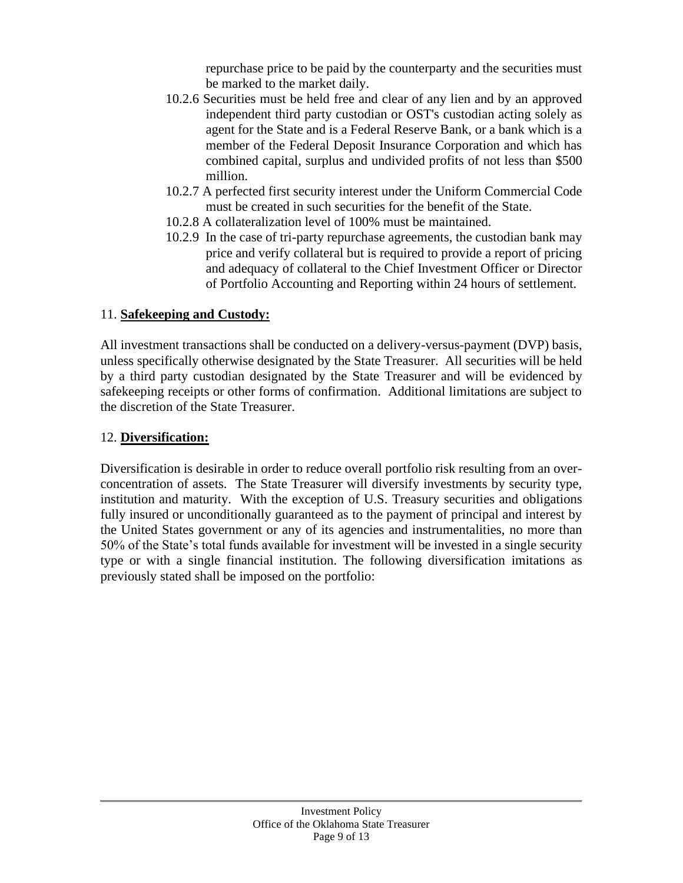repurchase price to be paid by the counterparty and the securities must be marked to the market daily.

- 10.2.6 Securities must be held free and clear of any lien and by an approved independent third party custodian or OST's custodian acting solely as agent for the State and is a Federal Reserve Bank, or a bank which is a member of the Federal Deposit Insurance Corporation and which has combined capital, surplus and undivided profits of not less than \$500 million.
- 10.2.7 A perfected first security interest under the Uniform Commercial Code must be created in such securities for the benefit of the State.
- 10.2.8 A collateralization level of 100% must be maintained.
- 10.2.9 In the case of tri-party repurchase agreements, the custodian bank may price and verify collateral but is required to provide a report of pricing and adequacy of collateral to the Chief Investment Officer or Director of Portfolio Accounting and Reporting within 24 hours of settlement.

### 11. **Safekeeping and Custody:**

All investment transactions shall be conducted on a delivery-versus-payment (DVP) basis, unless specifically otherwise designated by the State Treasurer. All securities will be held by a third party custodian designated by the State Treasurer and will be evidenced by safekeeping receipts or other forms of confirmation. Additional limitations are subject to the discretion of the State Treasurer.

## 12. **Diversification:**

Diversification is desirable in order to reduce overall portfolio risk resulting from an overconcentration of assets. The State Treasurer will diversify investments by security type, institution and maturity. With the exception of U.S. Treasury securities and obligations fully insured or unconditionally guaranteed as to the payment of principal and interest by the United States government or any of its agencies and instrumentalities, no more than 50% of the State's total funds available for investment will be invested in a single security type or with a single financial institution. The following diversification imitations as previously stated shall be imposed on the portfolio: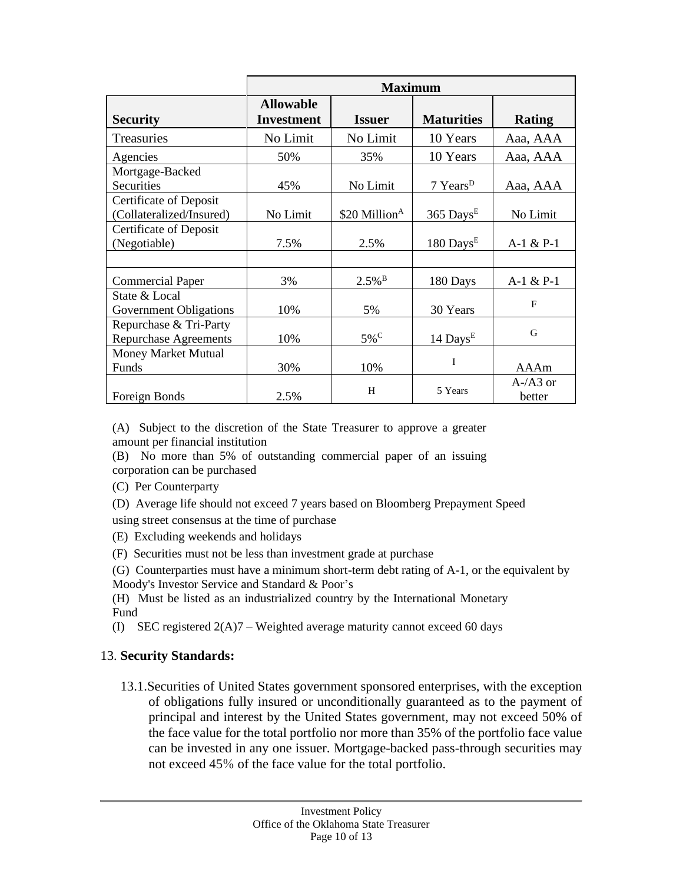|                                                           | <b>Maximum</b>                        |                           |                         |                     |
|-----------------------------------------------------------|---------------------------------------|---------------------------|-------------------------|---------------------|
| <b>Security</b>                                           | <b>Allowable</b><br><b>Investment</b> | <b>Issuer</b>             | <b>Maturities</b>       | <b>Rating</b>       |
| <b>Treasuries</b>                                         | No Limit                              | No Limit                  | 10 Years                | Aaa, AAA            |
| Agencies                                                  | 50%                                   | 35%                       | 10 Years                | Aaa, AAA            |
| Mortgage-Backed<br><b>Securities</b>                      | 45%                                   | No Limit                  | 7 Years <sup>D</sup>    | Aaa, AAA            |
| <b>Certificate of Deposit</b><br>(Collateralized/Insured) | No Limit                              | \$20 Million <sup>A</sup> | $365$ Days <sup>E</sup> | No Limit            |
| <b>Certificate of Deposit</b><br>(Negotiable)             | 7.5%                                  | 2.5%                      | $180$ Days <sup>E</sup> | $A-1 & P-1$         |
|                                                           |                                       |                           |                         |                     |
| <b>Commercial Paper</b>                                   | 3%                                    | $2.5\%$ <sup>B</sup>      | 180 Days                | $A-1 & P-1$         |
| State & Local<br>Government Obligations                   | 10%                                   | 5%                        | 30 Years                | F                   |
| Repurchase & Tri-Party<br><b>Repurchase Agreements</b>    | 10%                                   | $5\%$ <sup>C</sup>        | 14 Days <sup>E</sup>    | G                   |
| Money Market Mutual<br>Funds                              | 30%                                   | 10%                       | I                       | AAAm                |
| Foreign Bonds                                             | 2.5%                                  | H                         | 5 Years                 | $A-A3$ or<br>better |

(A) Subject to the discretion of the State Treasurer to approve a greater amount per financial institution

(B) No more than 5% of outstanding commercial paper of an issuing corporation can be purchased

(C) Per Counterparty

(D) Average life should not exceed 7 years based on Bloomberg Prepayment Speed

using street consensus at the time of purchase

(E) Excluding weekends and holidays

(F) Securities must not be less than investment grade at purchase

(G) Counterparties must have a minimum short-term debt rating of A-1, or the equivalent by Moody's Investor Service and Standard & Poor's

(H) Must be listed as an industrialized country by the International Monetary Fund

(I) SEC registered  $2(A)7$  – Weighted average maturity cannot exceed 60 days

#### 13. **Security Standards:**

13.1.Securities of United States government sponsored enterprises, with the exception of obligations fully insured or unconditionally guaranteed as to the payment of principal and interest by the United States government, may not exceed 50% of the face value for the total portfolio nor more than 35% of the portfolio face value can be invested in any one issuer. Mortgage-backed pass-through securities may not exceed 45% of the face value for the total portfolio.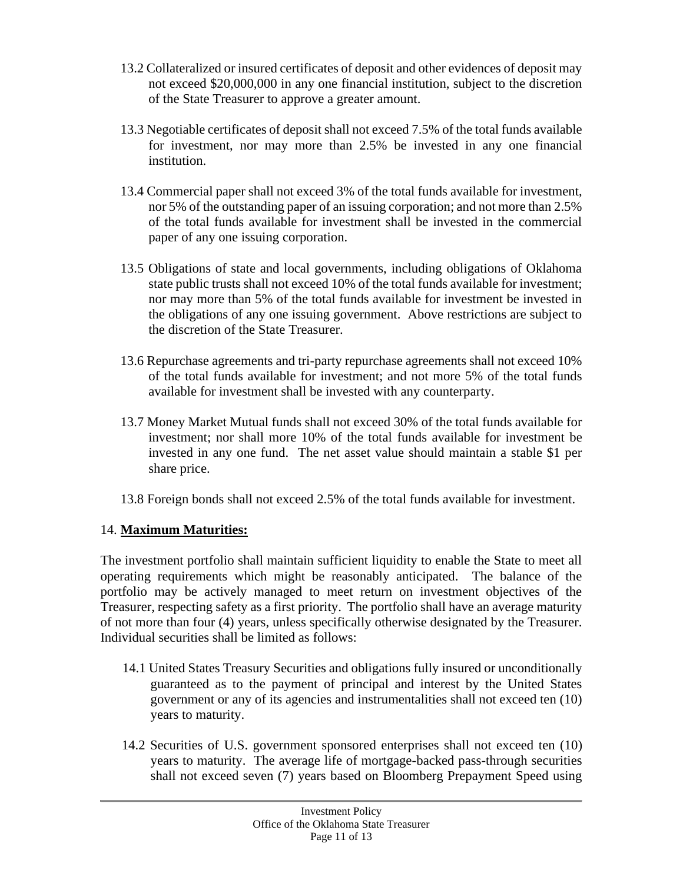- 13.2 Collateralized or insured certificates of deposit and other evidences of deposit may not exceed \$20,000,000 in any one financial institution, subject to the discretion of the State Treasurer to approve a greater amount.
- 13.3 Negotiable certificates of deposit shall not exceed 7.5% of the total funds available for investment, nor may more than 2.5% be invested in any one financial institution.
- 13.4 Commercial paper shall not exceed 3% of the total funds available for investment, nor 5% of the outstanding paper of an issuing corporation; and not more than 2.5% of the total funds available for investment shall be invested in the commercial paper of any one issuing corporation.
- 13.5 Obligations of state and local governments, including obligations of Oklahoma state public trusts shall not exceed 10% of the total funds available for investment; nor may more than 5% of the total funds available for investment be invested in the obligations of any one issuing government. Above restrictions are subject to the discretion of the State Treasurer.
- 13.6 Repurchase agreements and tri-party repurchase agreements shall not exceed 10% of the total funds available for investment; and not more 5% of the total funds available for investment shall be invested with any counterparty.
- 13.7 Money Market Mutual funds shall not exceed 30% of the total funds available for investment; nor shall more 10% of the total funds available for investment be invested in any one fund. The net asset value should maintain a stable \$1 per share price.
- 13.8 Foreign bonds shall not exceed 2.5% of the total funds available for investment.

#### 14. **Maximum Maturities:**

The investment portfolio shall maintain sufficient liquidity to enable the State to meet all operating requirements which might be reasonably anticipated. The balance of the portfolio may be actively managed to meet return on investment objectives of the Treasurer, respecting safety as a first priority. The portfolio shall have an average maturity of not more than four (4) years, unless specifically otherwise designated by the Treasurer. Individual securities shall be limited as follows:

- 14.1 United States Treasury Securities and obligations fully insured or unconditionally guaranteed as to the payment of principal and interest by the United States government or any of its agencies and instrumentalities shall not exceed ten (10) years to maturity.
- 14.2 Securities of U.S. government sponsored enterprises shall not exceed ten (10) years to maturity. The average life of mortgage-backed pass-through securities shall not exceed seven (7) years based on Bloomberg Prepayment Speed using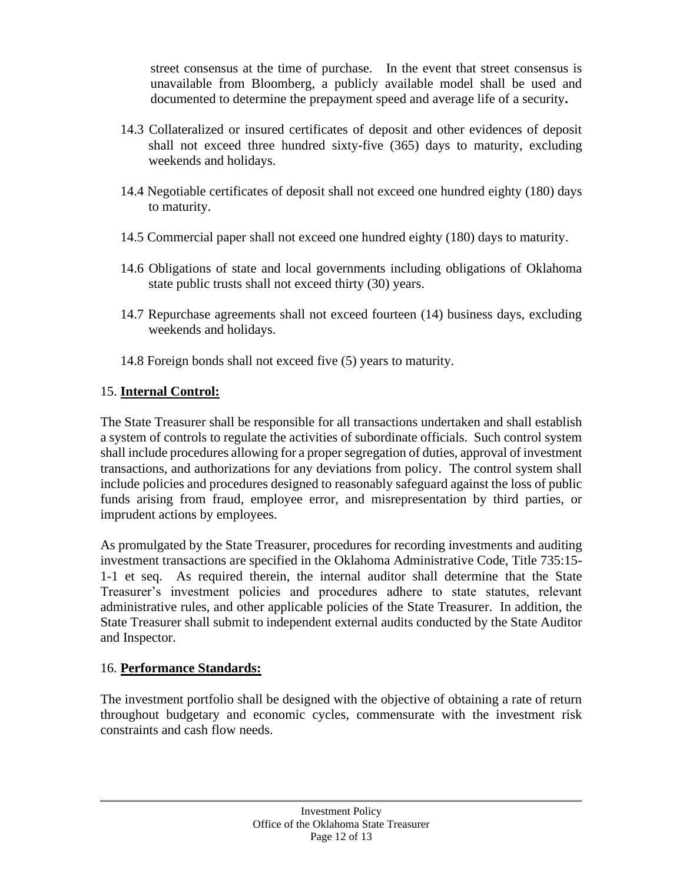street consensus at the time of purchase. In the event that street consensus is unavailable from Bloomberg, a publicly available model shall be used and documented to determine the prepayment speed and average life of a security**.**

- 14.3 Collateralized or insured certificates of deposit and other evidences of deposit shall not exceed three hundred sixty-five (365) days to maturity, excluding weekends and holidays.
- 14.4 Negotiable certificates of deposit shall not exceed one hundred eighty (180) days to maturity.
- 14.5 Commercial paper shall not exceed one hundred eighty (180) days to maturity.
- 14.6 Obligations of state and local governments including obligations of Oklahoma state public trusts shall not exceed thirty (30) years.
- 14.7 Repurchase agreements shall not exceed fourteen (14) business days, excluding weekends and holidays.
- 14.8 Foreign bonds shall not exceed five (5) years to maturity.

#### 15. **Internal Control:**

The State Treasurer shall be responsible for all transactions undertaken and shall establish a system of controls to regulate the activities of subordinate officials. Such control system shall include procedures allowing for a proper segregation of duties, approval of investment transactions, and authorizations for any deviations from policy. The control system shall include policies and procedures designed to reasonably safeguard against the loss of public funds arising from fraud, employee error, and misrepresentation by third parties, or imprudent actions by employees.

As promulgated by the State Treasurer, procedures for recording investments and auditing investment transactions are specified in the Oklahoma Administrative Code, Title 735:15- 1-1 et seq. As required therein, the internal auditor shall determine that the State Treasurer's investment policies and procedures adhere to state statutes, relevant administrative rules, and other applicable policies of the State Treasurer. In addition, the State Treasurer shall submit to independent external audits conducted by the State Auditor and Inspector.

#### 16. **Performance Standards:**

The investment portfolio shall be designed with the objective of obtaining a rate of return throughout budgetary and economic cycles, commensurate with the investment risk constraints and cash flow needs.